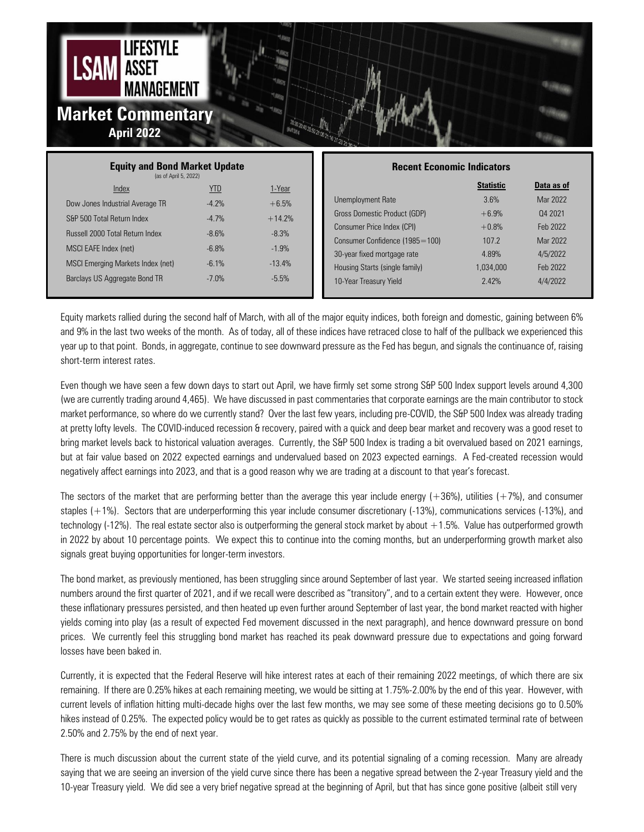

| <b>Equity and Bond Market Update</b><br>(as of April 5, 2022) |            |          | <b>Recent Economic Indicators</b> |                  |            |
|---------------------------------------------------------------|------------|----------|-----------------------------------|------------------|------------|
| Index                                                         | <u>YTD</u> | 1-Year   |                                   | <b>Statistic</b> | Data as of |
| Dow Jones Industrial Average TR                               | $-4.7%$    | $+6.5%$  | Unemployment Rate                 | 3.6%             | Mar 2022   |
| S&P 500 Total Return Index                                    | $-4.7%$    | $+14.2%$ | Gross Domestic Product (GDP)      | $+6.9%$          | 04 2021    |
| <b>Russell 2000 Total Return Index</b>                        | $-8.6%$    | $-8.3%$  | Consumer Price Index (CPI)        | $+0.8%$          | Feb 2022   |
|                                                               |            |          | Consumer Confidence (1985=100)    | 107.2            | Mar 2022   |
| MSCI EAFE Index (net)                                         | $-6.8%$    | $-1.9%$  | 30-year fixed mortgage rate       | 4.89%            | 4/5/2022   |
| MSCI Emerging Markets Index (net)                             | $-6.1%$    | $-13.4%$ | Housing Starts (single family)    | 1.034.000        | Feb 2022   |
| Barclays US Aggregate Bond TR                                 | $-7.0%$    | $-5.5%$  | 10-Year Treasury Yield            | 2.42%            | 4/4/2022   |
|                                                               |            |          |                                   |                  |            |

Equity markets rallied during the second half of March, with all of the major equity indices, both foreign and domestic, gaining between 6% and 9% in the last two weeks of the month. As of today, all of these indices have retraced close to half of the pullback we experienced this year up to that point. Bonds, in aggregate, continue to see downward pressure as the Fed has begun, and signals the continuance of, raising short-term interest rates.

Even though we have seen a few down days to start out April, we have firmly set some strong S&P 500 Index support levels around 4,300 (we are currently trading around 4,465). We have discussed in past commentaries that corporate earnings are the main contributor to stock market performance, so where do we currently stand? Over the last few years, including pre-COVID, the S&P 500 Index was already trading at pretty lofty levels. The COVID-induced recession & recovery, paired with a quick and deep bear market and recovery was a good reset to bring market levels back to historical valuation averages. Currently, the S&P 500 Index is trading a bit overvalued based on 2021 earnings, but at fair value based on 2022 expected earnings and undervalued based on 2023 expected earnings. A Fed-created recession would negatively affect earnings into 2023, and that is a good reason why we are trading at a discount to that year's forecast.

The sectors of the market that are performing better than the average this year include energy  $(+36%)$ , utilities  $(+7%)$ , and consumer staples (+1%). Sectors that are underperforming this year include consumer discretionary (-13%), communications services (-13%), and technology (-12%). The real estate sector also is outperforming the general stock market by about +1.5%. Value has outperformed growth in 2022 by about 10 percentage points. We expect this to continue into the coming months, but an underperforming growth market also signals great buying opportunities for longer-term investors.

The bond market, as previously mentioned, has been struggling since around September of last year. We started seeing increased inflation numbers around the first quarter of 2021, and if we recall were described as "transitory", and to a certain extent they were. However, once these inflationary pressures persisted, and then heated up even further around September of last year, the bond market reacted with higher yields coming into play (as a result of expected Fed movement discussed in the next paragraph), and hence downward pressure on bond prices. We currently feel this struggling bond market has reached its peak downward pressure due to expectations and going forward losses have been baked in.

Currently, it is expected that the Federal Reserve will hike interest rates at each of their remaining 2022 meetings, of which there are six remaining. If there are 0.25% hikes at each remaining meeting, we would be sitting at 1.75%-2.00% by the end of this year. However, with current levels of inflation hitting multi-decade highs over the last few months, we may see some of these meeting decisions go to 0.50% hikes instead of 0.25%. The expected policy would be to get rates as quickly as possible to the current estimated terminal rate of between 2.50% and 2.75% by the end of next year.

There is much discussion about the current state of the yield curve, and its potential signaling of a coming recession. Many are already saying that we are seeing an inversion of the yield curve since there has been a negative spread between the 2-year Treasury yield and the 10-year Treasury yield. We did see a very brief negative spread at the beginning of April, but that has since gone positive (albeit still very